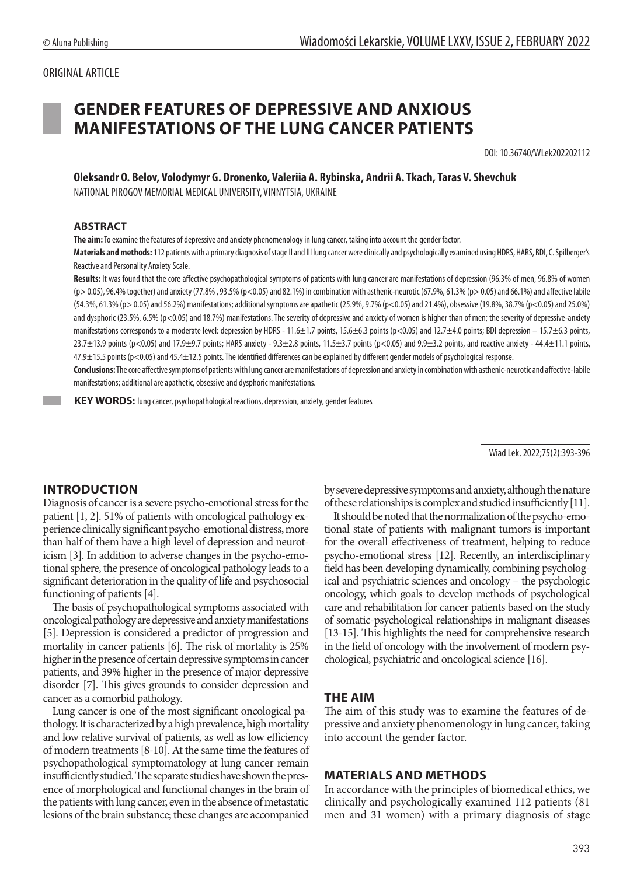# ORIGINAL ARTICLE

# **GENDER FEATURES OF DEPRESSIVE AND ANXIOUS MANIFESTATIONS OF THE LUNG CANCER PATIENTS**

DOI: 10.36740/WLek202202112

**Oleksandr O. Belov, Volodymyr G. Dronenko, Valeriia A. Rybinska, Andrii A. Tkach, Taras V. Shevchuk** NATIONAL PIROGOV MEMORIAL MEDICAL UNIVERSITY, VINNYTSIA, UKRAINE

#### **ABSTRACT**

**The aim:** To examine the features of depressive and anxiety phenomenology in lung cancer, taking into account the gender factor.

**Materials and methods:** 112 patients with a primary diagnosis of stage II and III lung cancer were clinically and psychologically examined using HDRS, HARS, BDI, C. Spilberger's Reactive and Personality Anxiety Scale.

**Results:** It was found that the core affective psychopathological symptoms of patients with lung cancer are manifestations of depression (96.3% of men, 96.8% of women  $(p > 0.05)$ , 96.4% together) and anxiety (77.8% , 93.5% (p<0.05) and 82.1%) in combination with asthenic-neurotic (67.9%, 61.3% (p> 0.05) and 66.1%) and affective labile (54.3%, 61.3% (p> 0.05) and 56.2%) manifestations; additional symptoms are apathetic (25.9%, 9.7% (p<0.05) and 21.4%), obsessive (19.8%, 38.7% (p<0.05) and 25.0%) and dysphoric (23.5%, 6.5% (p<0.05) and 18.7%) manifestations. The severity of depressive and anxiety of women is higher than of men; the severity of depressive-anxiety manifestations corresponds to a moderate level: depression by HDRS - 11.6±1.7 points, 15.6±6.3 points (p<0.05) and 12.7±4.0 points; BDI depression - 15.7±6.3 points,  $23.7\pm13.9$  points (p<0.05) and 17.9 $\pm$ 9.7 points; HARS anxiety - 9.3 $\pm$ 2.8 points, 11.5 $\pm$ 3.7 points (p<0.05) and 9.9 $\pm$ 3.2 points, and reactive anxiety - 44.4 $\pm$ 11.1 points, 47.9±15.5 points (p<0.05) and 45.4±12.5 points. The identified differences can be explained by different gender models of psychological response.

**Conclusions:** The core affective symptoms of patients with lung cancer are manifestations of depression and anxiety in combination with asthenic-neurotic and affective-labile manifestations; additional are apathetic, obsessive and dysphoric manifestations.

 **KEY WORDS:** lung cancer, psychopathological reactions, depression, anxiety, gender features

Wiad Lek. 2022;75(2):393-396

## **INTRODUCTION**

Diagnosis of cancer is a severe psycho-emotional stress for the patient [1, 2]. 51% of patients with oncological pathology experience clinically significant psycho-emotional distress, more than half of them have a high level of depression and neuroticism [3]. In addition to adverse changes in the psycho-emotional sphere, the presence of oncological pathology leads to a significant deterioration in the quality of life and psychosocial functioning of patients [4].

The basis of psychopathological symptoms associated with oncological pathology are depressive and anxiety manifestations [5]. Depression is considered a predictor of progression and mortality in cancer patients [6]. The risk of mortality is 25% higher in the presence of certain depressive symptoms in cancer patients, and 39% higher in the presence of major depressive disorder [7]. This gives grounds to consider depression and cancer as a comorbid pathology.

Lung cancer is one of the most significant oncological pathology.It is characterized by a high prevalence, high mortality and low relative survival of patients, as well as low efficiency of modern treatments [8-10]. At the same time the features of psychopathological symptomatology at lung cancer remain insufficiently studied. The separate studies have shown the presence of morphological and functional changes in the brain of the patients with lung cancer, even in the absence of metastatic lesions of the brain substance; these changes are accompanied by severe depressive symptoms and anxiety, although the nature of these relationships is complex and studied insufficiently [11].

It should be noted that the normalization of the psycho-emotional state of patients with malignant tumors is important for the overall effectiveness of treatment, helping to reduce psycho-emotional stress [12]. Recently, an interdisciplinary field has been developing dynamically, combining psychological and psychiatric sciences and oncology – the psychologic oncology, which goals to develop methods of psychological care and rehabilitation for cancer patients based on the study of somatic-psychological relationships in malignant diseases [13-15]. This highlights the need for comprehensive research in the field of oncology with the involvement of modern psychological, psychiatric and oncological science [16].

#### **THE AIM**

The aim of this study was to examine the features of depressive and anxiety phenomenology in lung cancer, taking into account the gender factor.

## **MATERIALS AND METHODS**

In accordance with the principles of biomedical ethics, we clinically and psychologically examined 112 patients (81 men and 31 women) with a primary diagnosis of stage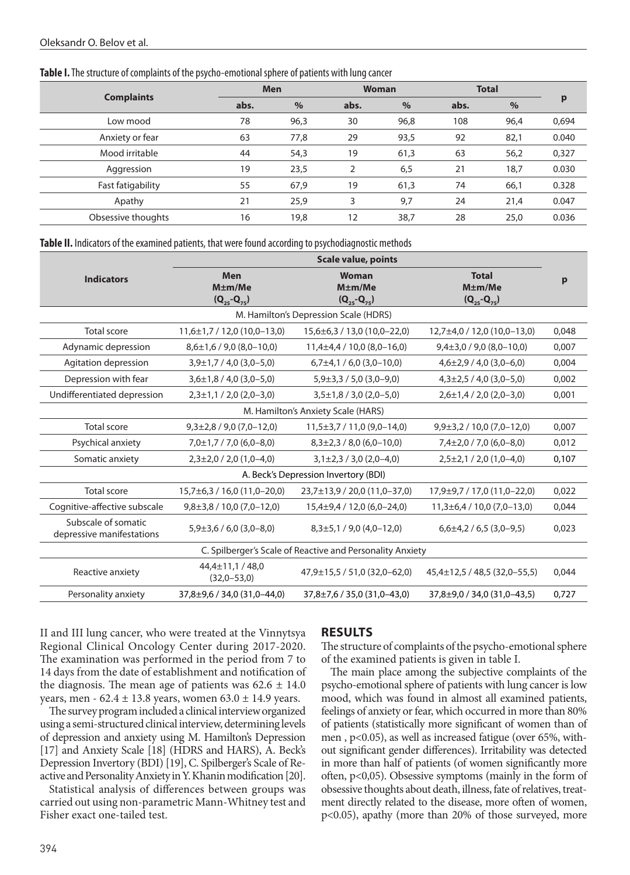#### **Table I.** The structure of complaints of the psycho-emotional sphere of patients with lung cancer

| <b>Men</b> |      | <b>Woman</b> |      | <b>Total</b> |      |       |
|------------|------|--------------|------|--------------|------|-------|
| abs.       | $\%$ | abs.         | $\%$ | abs.         | $\%$ | p     |
| 78         | 96,3 | 30           | 96,8 | 108          | 96,4 | 0,694 |
| 63         | 77,8 | 29           | 93,5 | 92           | 82,1 | 0.040 |
| 44         | 54,3 | 19           | 61,3 | 63           | 56,2 | 0,327 |
| 19         | 23,5 |              | 6,5  | 21           | 18,7 | 0.030 |
| 55         | 67,9 | 19           | 61,3 | 74           | 66,1 | 0.328 |
| 21         | 25,9 | 3            | 9,7  | 24           | 21,4 | 0.047 |
| 16         | 19,8 | 12           | 38,7 | 28           | 25,0 | 0.036 |
|            |      |              |      |              |      |       |

#### **Table II.** Indicators of the examined patients, that were found according to psychodiagnostic methods

|                                                                         | <b>Scale value, points</b>        |                                             |                                                      |       |  |  |  |  |  |
|-------------------------------------------------------------------------|-----------------------------------|---------------------------------------------|------------------------------------------------------|-------|--|--|--|--|--|
| <b>Men</b><br><b>Indicators</b><br>$M \pm m$ /Me<br>$(Q_{25} - Q_{75})$ |                                   | Woman<br>$M \pm m$ /Me<br>$(Q_{25}-Q_{75})$ | <b>Total</b><br>$M \pm m$ /Me<br>$(Q_{25} - Q_{75})$ | р     |  |  |  |  |  |
| M. Hamilton's Depression Scale (HDRS)                                   |                                   |                                             |                                                      |       |  |  |  |  |  |
| Total score                                                             | $11,6\pm1,7/12,0(10,0-13,0)$      | $15,6 \pm 6,3 / 13,0 (10,0 - 22,0)$         | 12,7±4,0 / 12,0 (10,0-13,0)                          | 0.048 |  |  |  |  |  |
| Adynamic depression                                                     | $8,6\pm1,6/9,0(8,0-10,0)$         | $11,4\pm4,4/10,0(8,0-16,0)$                 | $9,4\pm3,0/9,0(8,0-10,0)$                            | 0,007 |  |  |  |  |  |
| Agitation depression                                                    | $3,9\pm1,7/4,0(3,0-5,0)$          | $6,7\pm4,1/6,0(3,0-10,0)$                   | $4,6\pm2,9/4,0(3,0-6,0)$                             | 0,004 |  |  |  |  |  |
| Depression with fear                                                    | $3,6\pm1,8$ / 4,0 (3,0-5,0)       | $5,9\pm3,3/5,0(3,0-9,0)$                    | $4,3\pm2,5$ / 4,0 (3,0-5,0)                          | 0,002 |  |  |  |  |  |
| Undifferentiated depression                                             | $2,3\pm1,1/2,0(2,0-3,0)$          | $3,5\pm1,8/3,0(2,0-5,0)$                    | $2,6\pm1,4/2,0(2,0-3,0)$                             | 0,001 |  |  |  |  |  |
| M. Hamilton's Anxiety Scale (HARS)                                      |                                   |                                             |                                                      |       |  |  |  |  |  |
| Total score                                                             | $9,3\pm2,8/9,0(7,0-12,0)$         | $11,5\pm3,7/11,0(9,0-14,0)$                 | $9,9\pm3,2/10,0(7,0-12,0)$                           | 0.007 |  |  |  |  |  |
| Psychical anxiety                                                       | $7,0\pm1,7/7,0$ (6,0-8,0)         | $8,3\pm2,3/8,0(6,0-10,0)$                   | $7,4\pm2,0/7,0(6,0-8,0)$                             | 0,012 |  |  |  |  |  |
| Somatic anxiety                                                         | $2,3\pm2,0/2,0(1,0-4,0)$          | $3,1\pm2,3/3,0(2,0-4,0)$                    | $2,5\pm2,1/2,0(1,0-4,0)$                             | 0,107 |  |  |  |  |  |
| A. Beck's Depression Invertory (BDI)                                    |                                   |                                             |                                                      |       |  |  |  |  |  |
| <b>Total score</b>                                                      | $15,7\pm6,3/16,0(11,0-20,0)$      | 23,7±13,9 / 20,0 (11,0-37,0)                | 17,9±9,7 / 17,0 (11,0-22,0)                          | 0.022 |  |  |  |  |  |
| Cognitive-affective subscale                                            | $9,8\pm3,8/10,0(7,0-12,0)$        | 15,4±9,4 / 12,0 (6,0-24,0)                  | $11,3\pm 6,4/10,0(7,0-13,0)$                         | 0.044 |  |  |  |  |  |
| Subscale of somatic<br>depressive manifestations                        | $5,9\pm3,6/6,0(3,0-8,0)$          | $8,3\pm5,1/9,0(4,0-12,0)$                   | $6,6\pm4,2/6,5(3,0-9,5)$                             | 0,023 |  |  |  |  |  |
| C. Spilberger's Scale of Reactive and Personality Anxiety               |                                   |                                             |                                                      |       |  |  |  |  |  |
| Reactive anxiety                                                        | 44,4±11,1 / 48,0<br>$(32,0-53,0)$ | 47,9±15,5 / 51,0 (32,0-62,0)                | $45,4\pm12,5/48,5(32,0-55,5)$                        | 0,044 |  |  |  |  |  |
| Personality anxiety                                                     | 37.8±9.6 / 34.0 (31.0-44.0)       | $37.8 \pm 7.6 / 35.0 (31.0 - 43.0)$         | 37.8±9.0 / 34.0 (31.0-43.5)                          | 0.727 |  |  |  |  |  |

II and III lung cancer, who were treated at the Vinnytsya Regional Clinical Oncology Center during 2017-2020. The examination was performed in the period from 7 to 14 days from the date of establishment and notification of the diagnosis. The mean age of patients was  $62.6 \pm 14.0$ years, men -  $62.4 \pm 13.8$  years, women  $63.0 \pm 14.9$  years.

The survey program included a clinical interview organized using a semi-structured clinical interview, determining levels of depression and anxiety using M. Hamilton's Depression [17] and Anxiety Scale [18] (HDRS and HARS), A. Beck's Depression Invertory (BDI) [19], C. Spilberger's Scale of Reactive and Personality Anxiety in Y. Khanin modification [20].

Statistical analysis of differences between groups was carried out using non-parametric Mann-Whitney test and Fisher exact one-tailed test.

## **RESULTS**

The structure of complaints of the psycho-emotional sphere of the examined patients is given in table I.

The main place among the subjective complaints of the psycho-emotional sphere of patients with lung cancer is low mood, which was found in almost all examined patients, feelings of anxiety or fear, which occurred in more than 80% of patients (statistically more significant of women than of men , p<0.05), as well as increased fatigue (over 65%, without significant gender differences). Irritability was detected in more than half of patients (of women significantly more often, p<0,05). Obsessive symptoms (mainly in the form of obsessive thoughts about death, illness, fate of relatives, treatment directly related to the disease, more often of women, p<0.05), apathy (more than 20% of those surveyed, more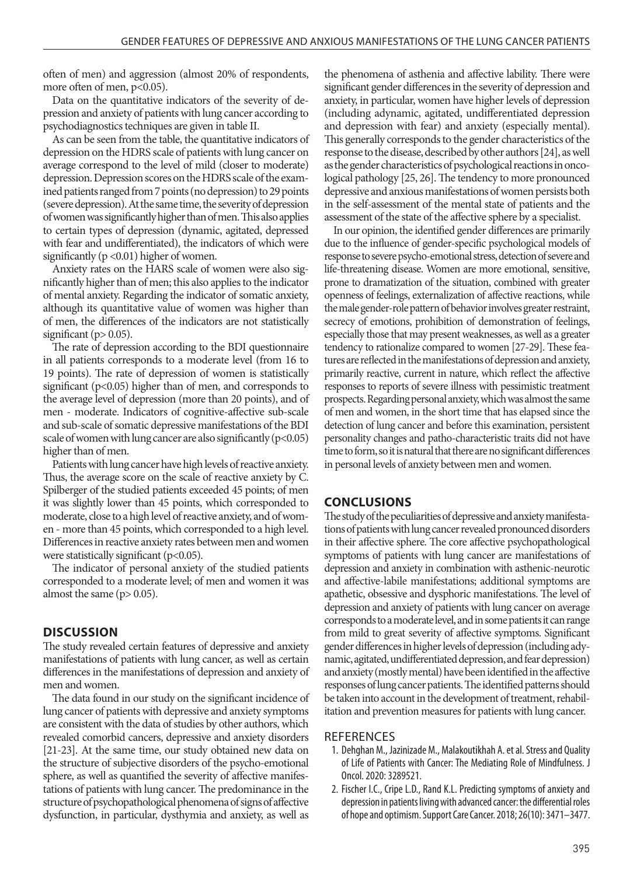often of men) and aggression (almost 20% of respondents, more often of men,  $p<0.05$ ).

Data on the quantitative indicators of the severity of depression and anxiety of patients with lung cancer according to psychodiagnostics techniques are given in table II.

As can be seen from the table, the quantitative indicators of depression on the HDRS scale of patients with lung cancer on average correspond to the level of mild (closer to moderate) depression. Depression scores on the HDRS scale of the examined patients ranged from 7 points (no depression) to 29 points (severe depression). At the same time, the severity of depression of women was significantly higher than of men. This also applies to certain types of depression (dynamic, agitated, depressed with fear and undifferentiated), the indicators of which were significantly ( $p < 0.01$ ) higher of women.

Anxiety rates on the HARS scale of women were also significantly higher than of men; this also applies to the indicator of mental anxiety. Regarding the indicator of somatic anxiety, although its quantitative value of women was higher than of men, the differences of the indicators are not statistically significant ( $p$  > 0.05).

The rate of depression according to the BDI questionnaire in all patients corresponds to a moderate level (from 16 to 19 points). The rate of depression of women is statistically significant (p<0.05) higher than of men, and corresponds to the average level of depression (more than 20 points), and of men - moderate. Indicators of cognitive-affective sub-scale and sub-scale of somatic depressive manifestations of the BDI scale of women with lung cancer are also significantly  $(p<0.05)$ higher than of men.

Patients with lung cancer have high levels of reactive anxiety. Thus, the average score on the scale of reactive anxiety by C. Spilberger of the studied patients exceeded 45 points; of men it was slightly lower than 45 points, which corresponded to moderate, close to a high level of reactive anxiety, and of women - more than 45 points, which corresponded to a high level. Differences in reactive anxiety rates between men and women were statistically significant  $(p<0.05)$ .

The indicator of personal anxiety of the studied patients corresponded to a moderate level; of men and women it was almost the same  $(p > 0.05)$ .

## **DISCUSSION**

The study revealed certain features of depressive and anxiety manifestations of patients with lung cancer, as well as certain differences in the manifestations of depression and anxiety of men and women.

The data found in our study on the significant incidence of lung cancer of patients with depressive and anxiety symptoms are consistent with the data of studies by other authors, which revealed comorbid cancers, depressive and anxiety disorders [21-23]. At the same time, our study obtained new data on the structure of subjective disorders of the psycho-emotional sphere, as well as quantified the severity of affective manifestations of patients with lung cancer. The predominance in the structure of psychopathological phenomena of signs of affective dysfunction, in particular, dysthymia and anxiety, as well as the phenomena of asthenia and affective lability. There were significant gender differences in the severity of depression and anxiety, in particular, women have higher levels of depression (including adynamic, agitated, undifferentiated depression and depression with fear) and anxiety (especially mental). This generally corresponds to the gender characteristics of the response to the disease, described by other authors [24], as well as the gender characteristics of psychological reactions in oncological pathology [25, 26]. The tendency to more pronounced depressive and anxious manifestations of women persists both in the self-assessment of the mental state of patients and the assessment of the state of the affective sphere by a specialist.

In our opinion, the identified gender differences are primarily due to the influence of gender-specific psychological models of response to severe psycho-emotional stress, detection of severe and life-threatening disease. Women are more emotional, sensitive, prone to dramatization of the situation, combined with greater openness of feelings, externalization of affective reactions, while the male gender-role pattern of behavior involves greater restraint, secrecy of emotions, prohibition of demonstration of feelings, especially those that may present weaknesses, as well as a greater tendency to rationalize compared to women [27-29]. These features are reflected in the manifestations of depression and anxiety, primarily reactive, current in nature, which reflect the affective responses to reports of severe illness with pessimistic treatment prospects. Regarding personal anxiety, which was almost the same of men and women, in the short time that has elapsed since the detection of lung cancer and before this examination, persistent personality changes and patho-characteristic traits did not have time to form, so it is natural that there are no significant differences in personal levels of anxiety between men and women.

# **CONCLUSIONS**

The study of the peculiarities of depressive and anxiety manifestations of patients with lung cancer revealed pronounced disorders in their affective sphere. The core affective psychopathological symptoms of patients with lung cancer are manifestations of depression and anxiety in combination with asthenic-neurotic and affective-labile manifestations; additional symptoms are apathetic, obsessive and dysphoric manifestations. The level of depression and anxiety of patients with lung cancer on average corresponds to a moderate level, and in some patients it can range from mild to great severity of affective symptoms. Significant gender differences in higher levels of depression (including adynamic, agitated, undifferentiated depression, and fear depression) and anxiety (mostly mental) have been identified in the affective responses of lung cancer patients. The identified patterns should be taken into account in the development of treatment, rehabilitation and prevention measures for patients with lung cancer.

#### **REFERENCES**

- 1. Dehghan M., Jazinizade M., Malakoutikhah A. et al. Stress and Quality of Life of Patients with Cancer: The Mediating Role of Mindfulness. J Oncol. 2020: 3289521.
- 2. Fischer I.C., Cripe L.D., Rand K.L. Predicting symptoms of anxiety and depression in patients living with advanced cancer: the differential roles of hope and optimism. Support Care Cancer. 2018; 26(10): 3471–3477.